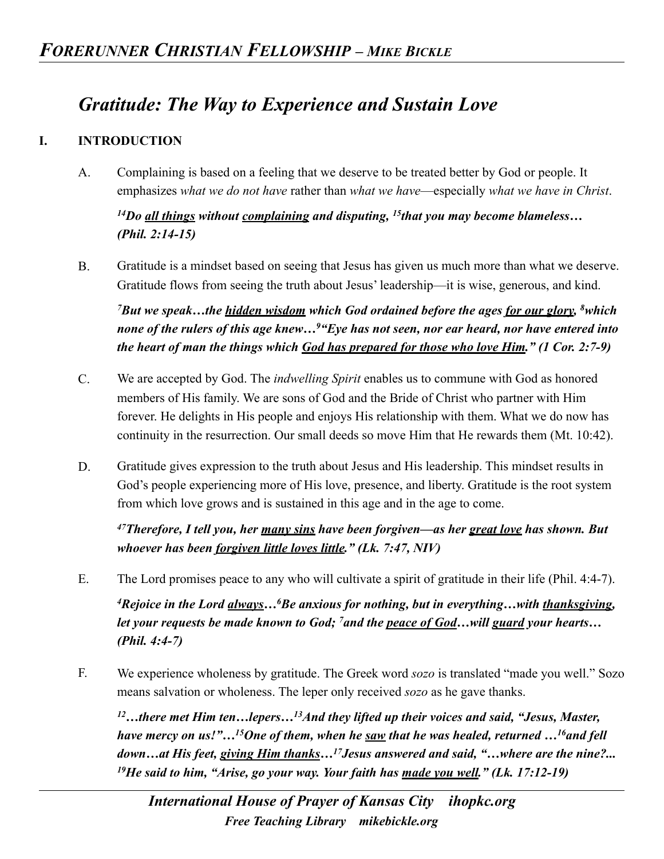## *Gratitude: The Way to Experience and Sustain Love*

## **I. INTRODUCTION**

A. Complaining is based on a feeling that we deserve to be treated better by God or people. It emphasizes *what we do not have* rather than *what we have*—especially *what we have in Christ*.

*14Do all things without complaining and disputing, 15that you may become blameless… (Phil. 2:14-15)* 

B. Gratitude is a mindset based on seeing that Jesus has given us much more than what we deserve. Gratitude flows from seeing the truth about Jesus' leadership—it is wise, generous, and kind.

*7But we speak…the hidden wisdom which God ordained before the ages for our glory, 8which none of the rulers of this age knew…9"Eye has not seen, nor ear heard, nor have entered into the heart of man the things which God has prepared for those who love Him." (1 Cor. 2:7-9)* 

- C. We are accepted by God. The *indwelling Spirit* enables us to commune with God as honored members of His family. We are sons of God and the Bride of Christ who partner with Him forever. He delights in His people and enjoys His relationship with them. What we do now has continuity in the resurrection. Our small deeds so move Him that He rewards them (Mt. 10:42).
- D. Gratitude gives expression to the truth about Jesus and His leadership. This mindset results in God's people experiencing more of His love, presence, and liberty. Gratitude is the root system from which love grows and is sustained in this age and in the age to come.

*47Therefore, I tell you, her many sins have been forgiven—as her great love has shown. But whoever has been forgiven little loves little." (Lk. 7:47, NIV)* 

E. The Lord promises peace to any who will cultivate a spirit of gratitude in their life (Phil. 4:4-7).

*4Rejoice in the Lord always…6Be anxious for nothing, but in everything…with thanksgiving, let your requests be made known to God; 7and the peace of God…will guard your hearts… (Phil. 4:4-7)* 

F. We experience wholeness by gratitude. The Greek word *sozo* is translated "made you well." Sozo means salvation or wholeness. The leper only received *sozo* as he gave thanks.

*12…there met Him ten…lepers…13And they lifted up their voices and said, "Jesus, Master, have mercy on us!"…15One of them, when he saw that he was healed, returned …16and fell down…at His feet, giving Him thanks…17Jesus answered and said, "…where are the nine?... 19He said to him, "Arise, go your way. Your faith has made you well." (Lk. 17:12-19)*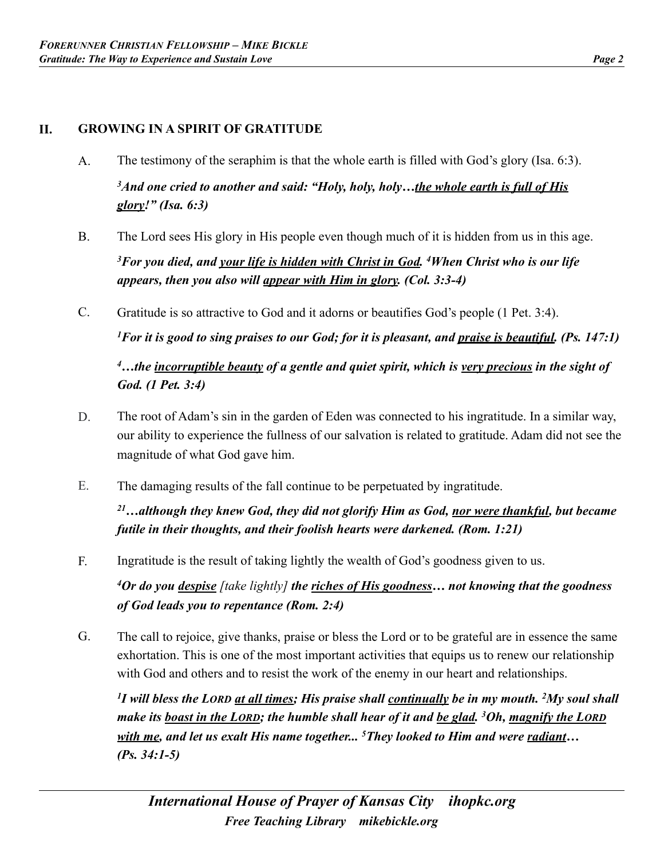## **II. GROWING IN A SPIRIT OF GRATITUDE**

- A. The testimony of the seraphim is that the whole earth is filled with God's glory (Isa. 6:3). *3And one cried to another and said: "Holy, holy, holy…the whole earth is full of His glory!" (Isa. 6:3)*
- B. The Lord sees His glory in His people even though much of it is hidden from us in this age. *3For you died, and your life is hidden with Christ in God. 4When Christ who is our life appears, then you also will appear with Him in glory. (Col. 3:3-4)*
- C. Gratitude is so attractive to God and it adorns or beautifies God's people (1 Pet. 3:4).

*1For it is good to sing praises to our God; for it is pleasant, and praise is beautiful. (Ps. 147:1)* 

*4…the incorruptible beauty of a gentle and quiet spirit, which is very precious in the sight of God. (1 Pet. 3:4)* 

- D. The root of Adam's sin in the garden of Eden was connected to his ingratitude. In a similar way, our ability to experience the fullness of our salvation is related to gratitude. Adam did not see the magnitude of what God gave him.
- E. The damaging results of the fall continue to be perpetuated by ingratitude.

*21…although they knew God, they did not glorify Him as God, nor were thankful, but became futile in their thoughts, and their foolish hearts were darkened. (Rom. 1:21)* 

F. Ingratitude is the result of taking lightly the wealth of God's goodness given to us.

*4Or do you despise [take lightly] the riches of His goodness… not knowing that the goodness of God leads you to repentance (Rom. 2:4)* 

G. The call to rejoice, give thanks, praise or bless the Lord or to be grateful are in essence the same exhortation. This is one of the most important activities that equips us to renew our relationship with God and others and to resist the work of the enemy in our heart and relationships.

*1I will bless the LORD at all times; His praise shall continually be in my mouth. 2My soul shall make its boast in the LORD; the humble shall hear of it and be glad. 3Oh, magnify the LORD with me, and let us exalt His name together... 5They looked to Him and were radiant… (Ps. 34:1-5)*